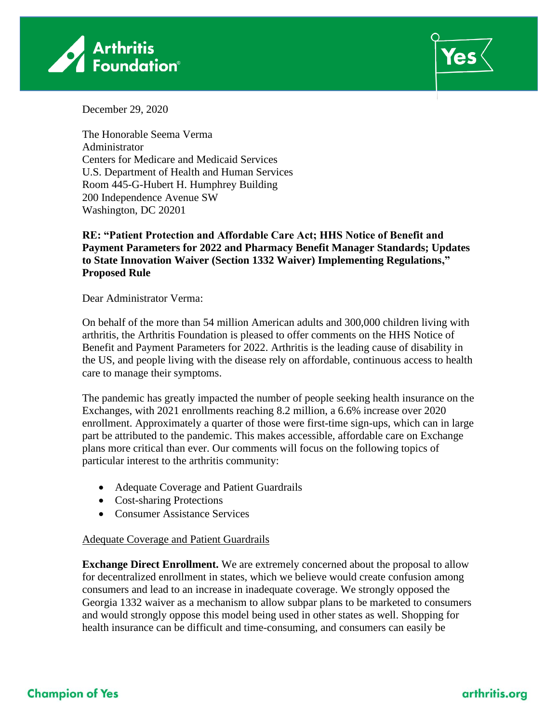



December 29, 2020

The Honorable Seema Verma Administrator Centers for Medicare and Medicaid Services U.S. Department of Health and Human Services Room 445-G-Hubert H. Humphrey Building 200 Independence Avenue SW Washington, DC 20201

## **RE: "Patient Protection and Affordable Care Act; HHS Notice of Benefit and Payment Parameters for 2022 and Pharmacy Benefit Manager Standards; Updates to State Innovation Waiver (Section 1332 Waiver) Implementing Regulations," Proposed Rule**

Dear Administrator Verma:

On behalf of the more than 54 million American adults and 300,000 children living with arthritis, the Arthritis Foundation is pleased to offer comments on the HHS Notice of Benefit and Payment Parameters for 2022. Arthritis is the leading cause of disability in the US, and people living with the disease rely on affordable, continuous access to health care to manage their symptoms.

The pandemic has greatly impacted the number of people seeking health insurance on the Exchanges, with 2021 enrollments reaching 8.2 million, a 6.6% increase over 2020 enrollment. Approximately a quarter of those were first-time sign-ups, which can in large part be attributed to the pandemic. This makes accessible, affordable care on Exchange plans more critical than ever. Our comments will focus on the following topics of particular interest to the arthritis community:

- Adequate Coverage and Patient Guardrails
- Cost-sharing Protections
- Consumer Assistance Services

## Adequate Coverage and Patient Guardrails

**Exchange Direct Enrollment.** We are extremely concerned about the proposal to allow for decentralized enrollment in states, which we believe would create confusion among consumers and lead to an increase in inadequate coverage. We strongly opposed the Georgia 1332 waiver as a mechanism to allow subpar plans to be marketed to consumers and would strongly oppose this model being used in other states as well. Shopping for health insurance can be difficult and time-consuming, and consumers can easily be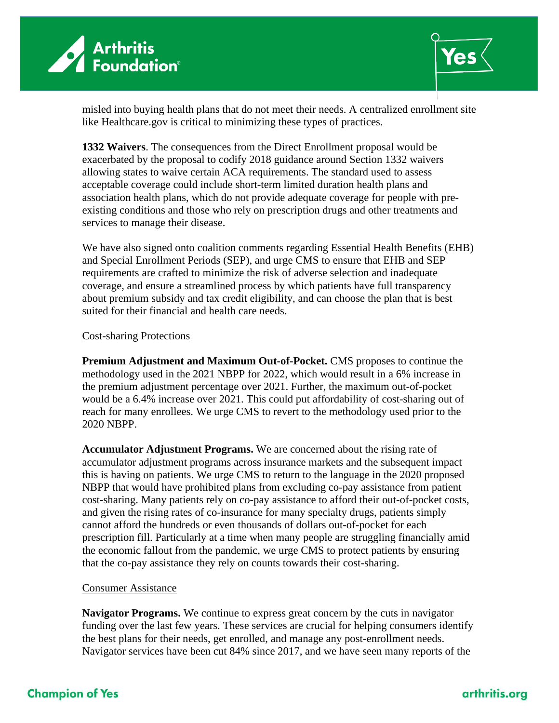



misled into buying health plans that do not meet their needs. A centralized enrollment site like Healthcare.gov is critical to minimizing these types of practices.

**1332 Waivers**. The consequences from the Direct Enrollment proposal would be exacerbated by the proposal to codify 2018 guidance around Section 1332 waivers allowing states to waive certain ACA requirements. The standard used to assess acceptable coverage could include short-term limited duration health plans and association health plans, which do not provide adequate coverage for people with preexisting conditions and those who rely on prescription drugs and other treatments and services to manage their disease.

We have also signed onto coalition comments regarding Essential Health Benefits (EHB) and Special Enrollment Periods (SEP), and urge CMS to ensure that EHB and SEP requirements are crafted to minimize the risk of adverse selection and inadequate coverage, and ensure a streamlined process by which patients have full transparency about premium subsidy and tax credit eligibility, and can choose the plan that is best suited for their financial and health care needs.

## Cost-sharing Protections

**Premium Adjustment and Maximum Out-of-Pocket.** CMS proposes to continue the methodology used in the 2021 NBPP for 2022, which would result in a 6% increase in the premium adjustment percentage over 2021. Further, the maximum out-of-pocket would be a 6.4% increase over 2021. This could put affordability of cost-sharing out of reach for many enrollees. We urge CMS to revert to the methodology used prior to the 2020 NBPP.

**Accumulator Adjustment Programs.** We are concerned about the rising rate of accumulator adjustment programs across insurance markets and the subsequent impact this is having on patients. We urge CMS to return to the language in the 2020 proposed NBPP that would have prohibited plans from excluding co-pay assistance from patient cost-sharing. Many patients rely on co-pay assistance to afford their out-of-pocket costs, and given the rising rates of co-insurance for many specialty drugs, patients simply cannot afford the hundreds or even thousands of dollars out-of-pocket for each prescription fill. Particularly at a time when many people are struggling financially amid the economic fallout from the pandemic, we urge CMS to protect patients by ensuring that the co-pay assistance they rely on counts towards their cost-sharing.

## Consumer Assistance

**Navigator Programs.** We continue to express great concern by the cuts in navigator funding over the last few years. These services are crucial for helping consumers identify the best plans for their needs, get enrolled, and manage any post-enrollment needs. Navigator services have been cut 84% since 2017, and we have seen many reports of the